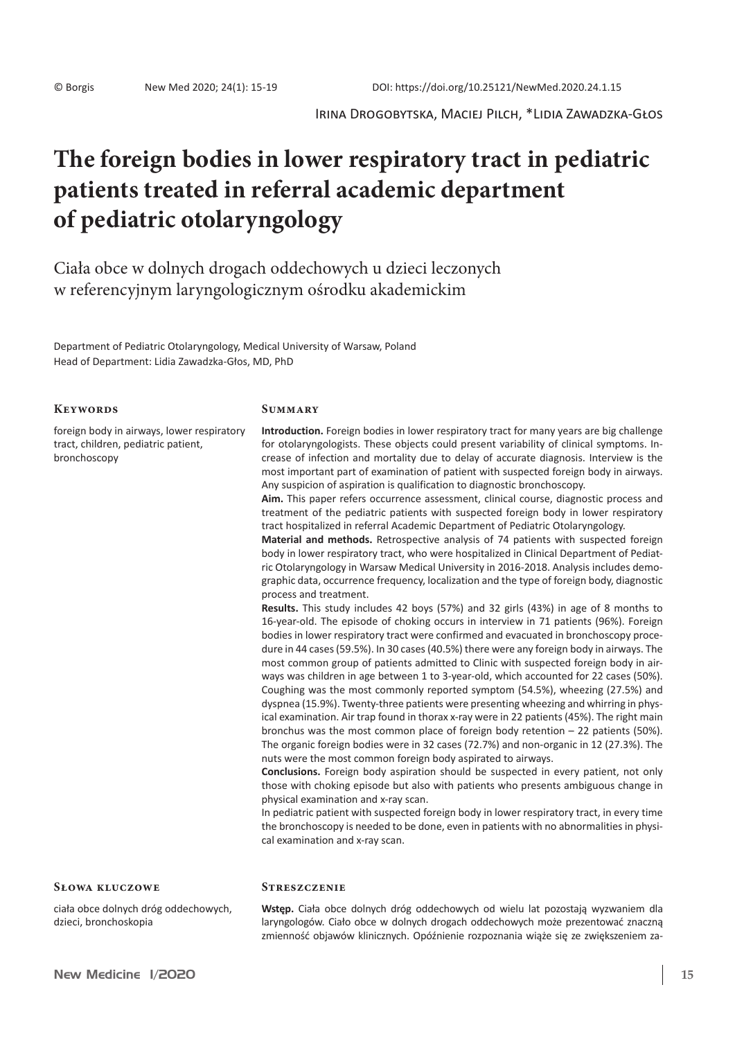Irina Drogobytska, Maciej Pilch, \*Lidia Zawadzka-Głos

# **The foreign bodies in lower respiratory tract in pediatric patients treated in referral academic department of pediatric otolaryngology**

Ciała obce w dolnych drogach oddechowych u dzieci leczonych w referencyjnym laryngologicznym ośrodku akademickim

Department of Pediatric Otolaryngology, Medical University of Warsaw, Poland Head of Department: Lidia Zawadzka-Głos, MD, PhD

# **Keywords**

foreign body in airways, lower respiratory tract, children, pediatric patient, bronchoscopy

#### **Summary**

**Streszczenie**

**Introduction.** Foreign bodies in lower respiratory tract for many years are big challenge for otolaryngologists. These objects could present variability of clinical symptoms. Increase of infection and mortality due to delay of accurate diagnosis. Interview is the most important part of examination of patient with suspected foreign body in airways. Any suspicion of aspiration is qualification to diagnostic bronchoscopy.

**Aim.** This paper refers occurrence assessment, clinical course, diagnostic process and treatment of the pediatric patients with suspected foreign body in lower respiratory tract hospitalized in referral Academic Department of Pediatric Otolaryngology.

**Material and methods.** Retrospective analysis of 74 patients with suspected foreign body in lower respiratory tract, who were hospitalized in Clinical Department of Pediatric Otolaryngology in Warsaw Medical University in 2016-2018. Analysis includes demographic data, occurrence frequency, localization and the type of foreign body, diagnostic process and treatment.

**Results.** This study includes 42 boys (57%) and 32 girls (43%) in age of 8 months to 16-year-old. The episode of choking occurs in interview in 71 patients (96%). Foreign bodies in lower respiratory tract were confirmed and evacuated in bronchoscopy procedure in 44 cases(59.5%). In 30 cases(40.5%) there were any foreign body in airways. The most common group of patients admitted to Clinic with suspected foreign body in airways was children in age between 1 to 3-year-old, which accounted for 22 cases (50%). Coughing was the most commonly reported symptom (54.5%), wheezing (27.5%) and dyspnea (15.9%). Twenty-three patients were presenting wheezing and whirring in physical examination. Air trap found in thorax x-ray were in 22 patients (45%). The right main bronchus was the most common place of foreign body retention  $-22$  patients (50%). The organic foreign bodies were in 32 cases (72.7%) and non-organic in 12 (27.3%). The nuts were the most common foreign body aspirated to airways.

**Conclusions.** Foreign body aspiration should be suspected in every patient, not only those with choking episode but also with patients who presents ambiguous change in physical examination and x-ray scan.

In pediatric patient with suspected foreign body in lower respiratory tract, in every time the bronchoscopy is needed to be done, even in patients with no abnormalities in physical examination and x-ray scan.

#### **Słowa kluczowe**

ciała obce dolnych dróg oddechowych, dzieci, bronchoskopia

**Wstęp.** Ciała obce dolnych dróg oddechowych od wielu lat pozostają wyzwaniem dla laryngologów. Ciało obce w dolnych drogach oddechowych może prezentować znaczną zmienność objawów klinicznych. Opóźnienie rozpoznania wiąże się ze zwiększeniem za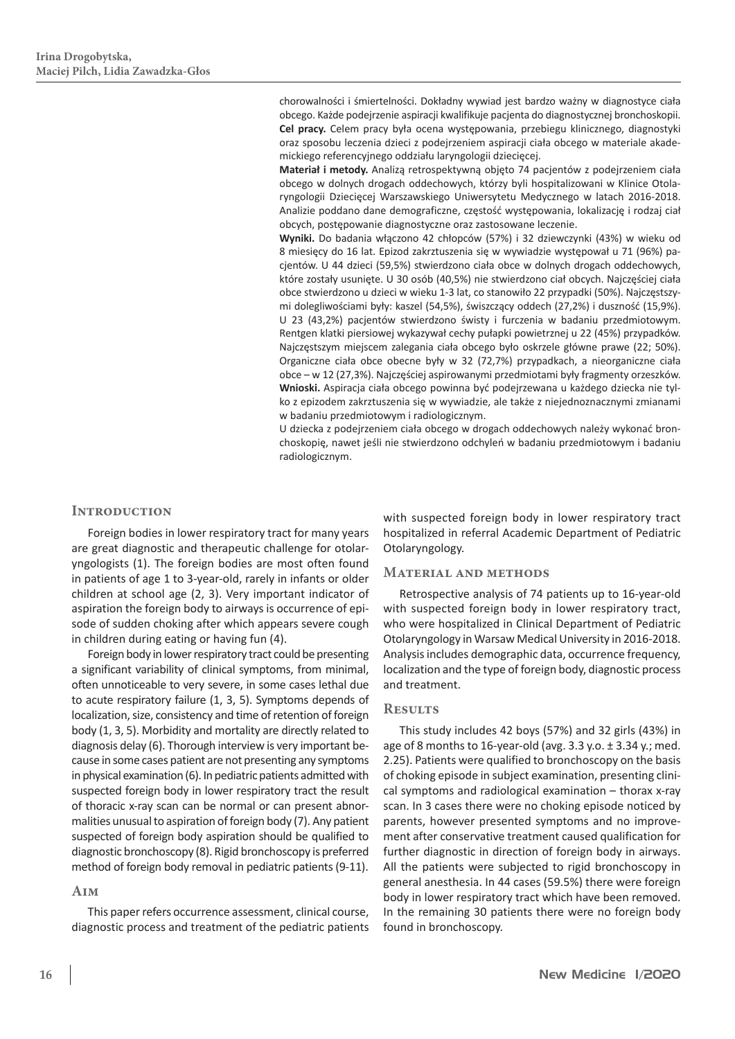chorowalności i śmiertelności. Dokładny wywiad jest bardzo ważny w diagnostyce ciała obcego. Każde podejrzenie aspiracji kwalifikuje pacjenta do diagnostycznej bronchoskopii. **Cel pracy.** Celem pracy była ocena występowania, przebiegu klinicznego, diagnostyki oraz sposobu leczenia dzieci z podejrzeniem aspiracji ciała obcego w materiale akademickiego referencyjnego oddziału laryngologii dziecięcej.

**Materiał i metody.** Analizą retrospektywną objęto 74 pacjentów z podejrzeniem ciała obcego w dolnych drogach oddechowych, którzy byli hospitalizowani w Klinice Otolaryngologii Dziecięcej Warszawskiego Uniwersytetu Medycznego w latach 2016-2018. Analizie poddano dane demograficzne, częstość występowania, lokalizację i rodzaj ciał obcych, postępowanie diagnostyczne oraz zastosowane leczenie.

**Wyniki.** Do badania włączono 42 chłopców (57%) i 32 dziewczynki (43%) w wieku od 8 miesięcy do 16 lat. Epizod zakrztuszenia się w wywiadzie występował u 71 (96%) pacjentów. U 44 dzieci (59,5%) stwierdzono ciała obce w dolnych drogach oddechowych, które zostały usunięte. U 30 osób (40,5%) nie stwierdzono ciał obcych. Najczęściej ciała obce stwierdzono u dzieci w wieku 1-3 lat, co stanowiło 22 przypadki (50%). Najczęstszymi dolegliwościami były: kaszel (54,5%), świszczący oddech (27,2%) i duszność (15,9%). U 23 (43,2%) pacjentów stwierdzono świsty i furczenia w badaniu przedmiotowym. Rentgen klatki piersiowej wykazywał cechy pułapki powietrznej u 22 (45%) przypadków. Najczęstszym miejscem zalegania ciała obcego było oskrzele główne prawe (22; 50%). Organiczne ciała obce obecne były w 32 (72,7%) przypadkach, a nieorganiczne ciała obce – w 12 (27,3%). Najczęściej aspirowanymi przedmiotami były fragmenty orzeszków. **Wnioski.** Aspiracja ciała obcego powinna być podejrzewana u każdego dziecka nie tylko z epizodem zakrztuszenia się w wywiadzie, ale także z niejednoznacznymi zmianami w badaniu przedmiotowym i radiologicznym.

U dziecka z podejrzeniem ciała obcego w drogach oddechowych należy wykonać bronchoskopię, nawet jeśli nie stwierdzono odchyleń w badaniu przedmiotowym i badaniu radiologicznym.

# **Introduction**

Foreign bodies in lower respiratory tract for many years are great diagnostic and therapeutic challenge for otolaryngologists (1). The foreign bodies are most often found in patients of age 1 to 3-year-old, rarely in infants or older children at school age (2, 3). Very important indicator of aspiration the foreign body to airways is occurrence of episode of sudden choking after which appears severe cough in children during eating or having fun (4).

Foreign body in lower respiratory tract could be presenting a significant variability of clinical symptoms, from minimal, often unnoticeable to very severe, in some cases lethal due to acute respiratory failure (1, 3, 5). Symptoms depends of localization, size, consistency and time of retention of foreign body (1, 3, 5). Morbidity and mortality are directly related to diagnosis delay (6). Thorough interview is very important because in some cases patient are not presenting any symptoms in physical examination (6). In pediatric patients admitted with suspected foreign body in lower respiratory tract the result of thoracic x-ray scan can be normal or can present abnormalities unusual to aspiration of foreign body (7). Any patient suspected of foreign body aspiration should be qualified to diagnostic bronchoscopy (8). Rigid bronchoscopy is preferred method of foreign body removal in pediatric patients (9-11).

#### **Aim**

This paper refers occurrence assessment, clinical course, diagnostic process and treatment of the pediatric patients with suspected foreign body in lower respiratory tract hospitalized in referral Academic Department of Pediatric Otolaryngology.

#### **Material and methods**

Retrospective analysis of 74 patients up to 16-year-old with suspected foreign body in lower respiratory tract, who were hospitalized in Clinical Department of Pediatric Otolaryngology in Warsaw Medical University in 2016-2018. Analysis includes demographic data, occurrence frequency, localization and the type of foreign body, diagnostic process and treatment.

#### **Results**

This study includes 42 boys (57%) and 32 girls (43%) in age of 8 months to 16-year-old (avg.  $3.3$  y.o.  $\pm$  3.34 y.; med. 2.25). Patients were qualified to bronchoscopy on the basis of choking episode in subject examination, presenting clinical symptoms and radiological examination – thorax x-ray scan. In 3 cases there were no choking episode noticed by parents, however presented symptoms and no improvement after conservative treatment caused qualification for further diagnostic in direction of foreign body in airways. All the patients were subjected to rigid bronchoscopy in general anesthesia. In 44 cases (59.5%) there were foreign body in lower respiratory tract which have been removed. In the remaining 30 patients there were no foreign body found in bronchoscopy.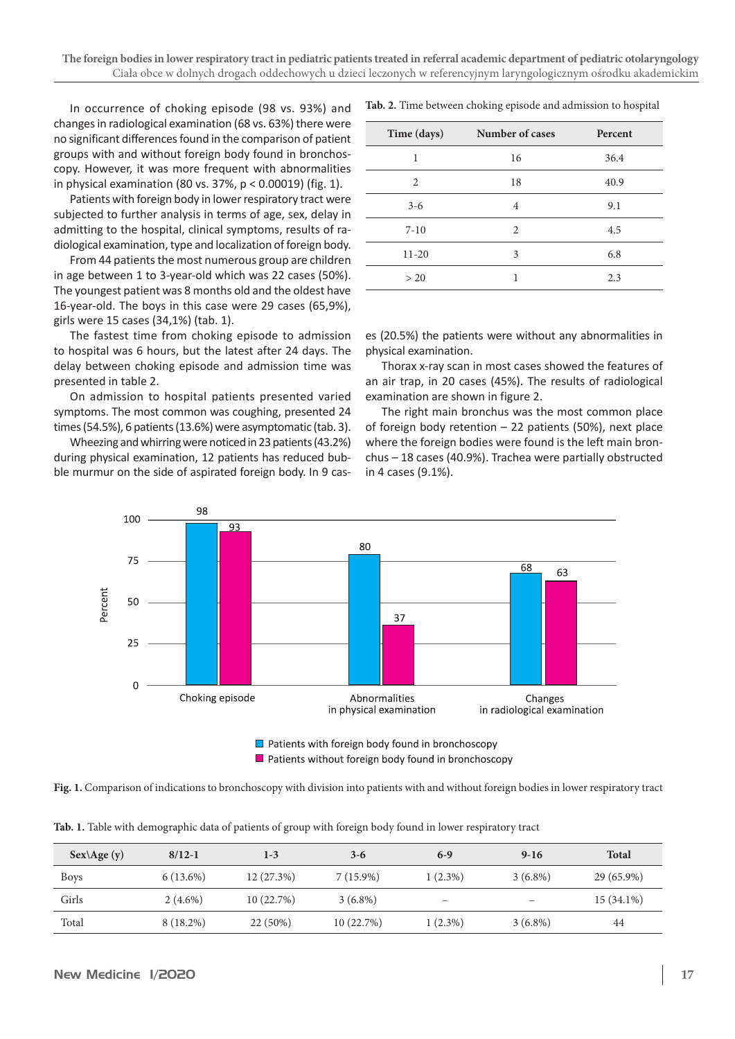In occurrence of choking episode (98 vs. 93%) and changes in radiological examination (68 vs. 63%) there were no significant differences found in the comparison of patient groups with and without foreign body found in bronchoscopy. However, it was more frequent with abnormalities in physical examination (80 vs. 37%, p < 0.00019) (fig. 1).

Patients with foreign body in lower respiratory tract were subjected to further analysis in terms of age, sex, delay in admitting to the hospital, clinical symptoms, results of radiological examination, type and localization of foreign body.

From 44 patients the most numerous group are children in age between 1 to 3-year-old which was 22 cases (50%). The youngest patient was 8 months old and the oldest have 16-year-old. The boys in this case were 29 cases (65,9%), girls were 15 cases (34,1%) (tab. 1).

The fastest time from choking episode to admission to hospital was 6 hours, but the latest after 24 days. The delay between choking episode and admission time was presented in table 2.

On admission to hospital patients presented varied symptoms. The most common was coughing, presented 24 times (54.5%), 6 patients (13.6%) were asymptomatic (tab. 3).

Wheezing and whirring were noticed in 23 patients(43.2%) during physical examination, 12 patients has reduced bubble murmur on the side of aspirated foreign body. In 9 cas**Tab. 2.** Time between choking episode and admission to hospital

| Time (days) | Number of cases | Percent |
|-------------|-----------------|---------|
| 1           | 16              | 36.4    |
| 2           | 18              | 40.9    |
| $3 - 6$     | 4               | 9.1     |
| $7 - 10$    | 2               | 4.5     |
| $11 - 20$   | 3               | 6.8     |
| > 20        |                 | 2.3     |

es (20.5%) the patients were without any abnormalities in physical examination.

Thorax x-ray scan in most cases showed the features of an air trap, in 20 cases (45%). The results of radiological examination are shown in figure 2.

The right main bronchus was the most common place of foreign body retention – 22 patients (50%), next place where the foreign bodies were found is the left main bronchus – 18 cases (40.9%). Trachea were partially obstructed in 4 cases (9.1%).



Patients without foreign body found in bronchoscopy

**Fig. 1.** Comparison of indications to bronchoscopy with division into patients with and without foreign bodies in lower respiratory tract

|  |  | Tab. 1. Table with demographic data of patients of group with foreign body found in lower respiratory tract |  |  |  |  |  |  |  |
|--|--|-------------------------------------------------------------------------------------------------------------|--|--|--|--|--|--|--|
|  |  |                                                                                                             |  |  |  |  |  |  |  |

| $Sex \triangle g$ e (y) | $8/12 - 1$  | $1 - 3$   | $3-6$       | $6-9$      | $9-16$     | <b>Total</b> |
|-------------------------|-------------|-----------|-------------|------------|------------|--------------|
| <b>Boys</b>             | $6(13.6\%)$ | 12(27.3%) | $7(15.9\%)$ | $1(2.3\%)$ | $3(6.8\%)$ | 29 (65.9%)   |
| Girls                   | $2(4.6\%)$  | 10(22.7%) | $3(6.8\%)$  | -          |            | 15 (34.1%)   |
| Total                   | 8 (18.2%)   | 22 (50%)  | 10(22.7%)   | $1(2.3\%)$ | $3(6.8\%)$ | 44           |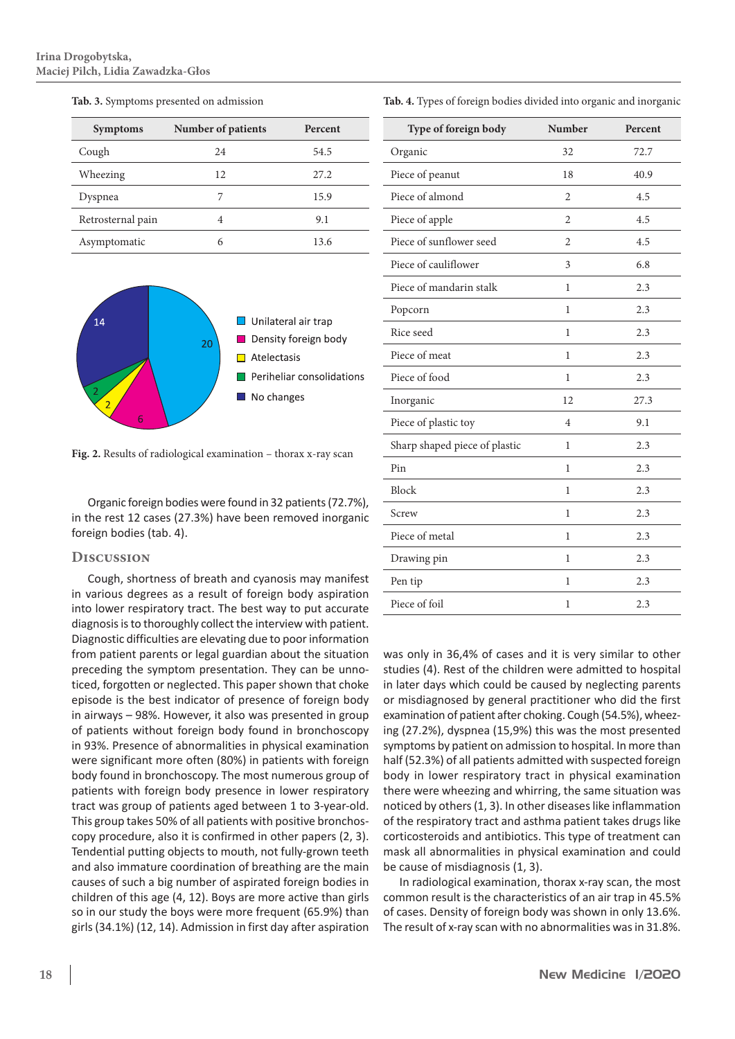| <b>Symptoms</b>   | Number of patients | Percent |
|-------------------|--------------------|---------|
| Cough             | 24                 | 54.5    |
| Wheezing          | 12                 | 27.2    |
| Dyspnea           | 7                  | 15.9    |
| Retrosternal pain | 4                  | 9.1     |
| Asymptomatic      | 6                  | 13.6    |





**Fig. 2.** Results of radiological examination – thorax x-ray scan

Organic foreign bodies were found in 32 patients(72.7%), in the rest 12 cases (27.3%) have been removed inorganic foreign bodies (tab. 4).

#### **Discussion**

Cough, shortness of breath and cyanosis may manifest in various degrees as a result of foreign body aspiration into lower respiratory tract. The best way to put accurate diagnosis is to thoroughly collect the interview with patient. Diagnostic difficulties are elevating due to poor information from patient parents or legal guardian about the situation preceding the symptom presentation. They can be unnoticed, forgotten or neglected. This paper shown that choke episode is the best indicator of presence of foreign body in airways – 98%. However, it also was presented in group of patients without foreign body found in bronchoscopy in 93%. Presence of abnormalities in physical examination were significant more often (80%) in patients with foreign body found in bronchoscopy. The most numerous group of patients with foreign body presence in lower respiratory tract was group of patients aged between 1 to 3-year-old. This group takes 50% of all patients with positive bronchoscopy procedure, also it is confirmed in other papers (2, 3). Tendential putting objects to mouth, not fully-grown teeth and also immature coordination of breathing are the main causes of such a big number of aspirated foreign bodies in children of this age (4, 12). Boys are more active than girls so in our study the boys were more frequent (65.9%) than girls(34.1%) (12, 14). Admission in first day after aspiration

| Type of foreign body          | Number         | Percent |
|-------------------------------|----------------|---------|
| Organic                       | 32             | 72.7    |
| Piece of peanut               | 18             | 40.9    |
| Piece of almond               | $\overline{c}$ | 4.5     |
| Piece of apple                | $\overline{2}$ | 4.5     |
| Piece of sunflower seed       | $\overline{2}$ | 4.5     |
| Piece of cauliflower          | 3              | 6.8     |
| Piece of mandarin stalk       | 1              | 2.3     |
| Popcorn                       | 1              | 2.3     |
| Rice seed                     | 1              | 2.3     |
| Piece of meat                 | $\mathbf{1}$   | 2.3     |
| Piece of food                 | 1              | 2.3     |
| Inorganic                     | 12             | 27.3    |
| Piece of plastic toy          | 4              | 9.1     |
| Sharp shaped piece of plastic | 1              | 2.3     |
| Pin                           | 1              | 2.3     |
| Block                         | 1              | 2.3     |
| Screw                         | 1              | 2.3     |
| Piece of metal                | 1              | 2.3     |
| Drawing pin                   | 1              | 2.3     |
| Pen tip                       | 1              | 2.3     |
| Piece of foil                 | $\mathbf{1}$   | 2.3     |

was only in 36,4% of cases and it is very similar to other studies (4). Rest of the children were admitted to hospital in later days which could be caused by neglecting parents or misdiagnosed by general practitioner who did the first examination of patient after choking. Cough (54.5%), wheezing (27.2%), dyspnea (15,9%) this was the most presented symptoms by patient on admission to hospital. In more than half (52.3%) of all patients admitted with suspected foreign body in lower respiratory tract in physical examination there were wheezing and whirring, the same situation was noticed by others(1, 3). In other diseases like inflammation of the respiratory tract and asthma patient takes drugs like corticosteroids and antibiotics. This type of treatment can mask all abnormalities in physical examination and could be cause of misdiagnosis (1, 3).

In radiological examination, thorax x-ray scan, the most common result is the characteristics of an air trap in 45.5% of cases. Density of foreign body was shown in only 13.6%. The result of x-ray scan with no abnormalities was in 31.8%.